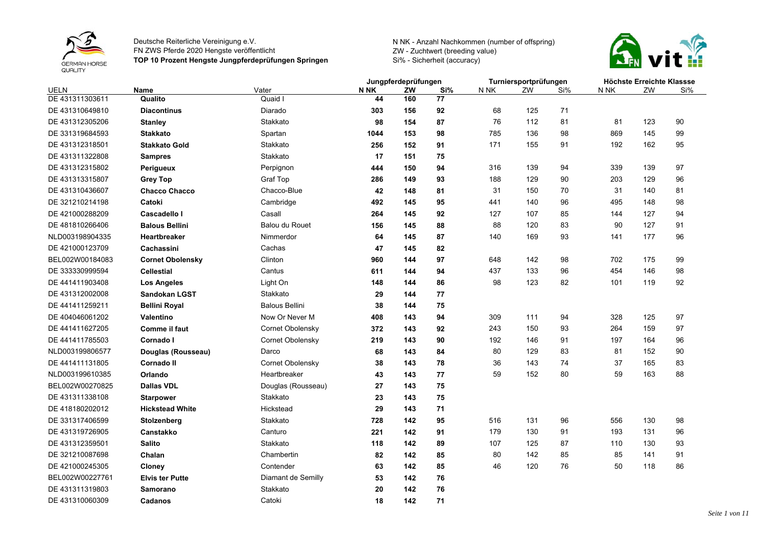



|                 |                         |                       | Jungpferdeprüfungen |     |     | Turniersportprüfungen |     |     | Höchste Erreichte Klassse |     |     |
|-----------------|-------------------------|-----------------------|---------------------|-----|-----|-----------------------|-----|-----|---------------------------|-----|-----|
| UELN            | Name                    | Vater                 | N NK                | ZW  | Si% | N NK                  | ZW  | Si% | N NK                      | ZW  | Si% |
| DE 431311303611 | Qualito                 | Quaid I               | 44                  | 160 | 77  |                       |     |     |                           |     |     |
| DE 431310649810 | <b>Diacontinus</b>      | Diarado               | 303                 | 156 | 92  | 68                    | 125 | 71  |                           |     |     |
| DE 431312305206 | <b>Stanley</b>          | Stakkato              | 98                  | 154 | 87  | 76                    | 112 | 81  | 81                        | 123 | 90  |
| DE 331319684593 | <b>Stakkato</b>         | Spartan               | 1044                | 153 | 98  | 785                   | 136 | 98  | 869                       | 145 | 99  |
| DE 431312318501 | <b>Stakkato Gold</b>    | Stakkato              | 256                 | 152 | 91  | 171                   | 155 | 91  | 192                       | 162 | 95  |
| DE 431311322808 | <b>Sampres</b>          | Stakkato              | 17                  | 151 | 75  |                       |     |     |                           |     |     |
| DE 431312315802 | Perigueux               | Perpignon             | 444                 | 150 | 94  | 316                   | 139 | 94  | 339                       | 139 | 97  |
| DE 431313315807 | <b>Grey Top</b>         | <b>Graf Top</b>       | 286                 | 149 | 93  | 188                   | 129 | 90  | 203                       | 129 | 96  |
| DE 431310436607 | <b>Chacco Chacco</b>    | Chacco-Blue           | 42                  | 148 | 81  | 31                    | 150 | 70  | 31                        | 140 | 81  |
| DE 321210214198 | Catoki                  | Cambridge             | 492                 | 145 | 95  | 441                   | 140 | 96  | 495                       | 148 | 98  |
| DE 421000288209 | Cascadello I            | Casall                | 264                 | 145 | 92  | 127                   | 107 | 85  | 144                       | 127 | 94  |
| DE 481810266406 | <b>Balous Bellini</b>   | <b>Balou du Rouet</b> | 156                 | 145 | 88  | 88                    | 120 | 83  | 90                        | 127 | 91  |
| NLD003198904335 | Heartbreaker            | Nimmerdor             | 64                  | 145 | 87  | 140                   | 169 | 93  | 141                       | 177 | 96  |
| DE 421000123709 | Cachassini              | Cachas                | 47                  | 145 | 82  |                       |     |     |                           |     |     |
| BEL002W00184083 | <b>Cornet Obolensky</b> | Clinton               | 960                 | 144 | 97  | 648                   | 142 | 98  | 702                       | 175 | 99  |
| DE 333330999594 | <b>Cellestial</b>       | Cantus                | 611                 | 144 | 94  | 437                   | 133 | 96  | 454                       | 146 | 98  |
| DE 441411903408 | Los Angeles             | Light On              | 148                 | 144 | 86  | 98                    | 123 | 82  | 101                       | 119 | 92  |
| DE 431312002008 | <b>Sandokan LGST</b>    | Stakkato              | 29                  | 144 | 77  |                       |     |     |                           |     |     |
| DE 441411259211 | <b>Bellini Royal</b>    | <b>Balous Bellini</b> | 38                  | 144 | 75  |                       |     |     |                           |     |     |
| DE 404046061202 | Valentino               | Now Or Never M        | 408                 | 143 | 94  | 309                   | 111 | 94  | 328                       | 125 | 97  |
| DE 441411627205 | <b>Comme il faut</b>    | Cornet Obolensky      | 372                 | 143 | 92  | 243                   | 150 | 93  | 264                       | 159 | 97  |
| DE 441411785503 | Cornado I               | Cornet Obolensky      | 219                 | 143 | 90  | 192                   | 146 | 91  | 197                       | 164 | 96  |
| NLD003199806577 | Douglas (Rousseau)      | Darco                 | 68                  | 143 | 84  | 80                    | 129 | 83  | 81                        | 152 | 90  |
| DE 441411131805 | <b>Cornado II</b>       | Cornet Obolensky      | 38                  | 143 | 78  | 36                    | 143 | 74  | 37                        | 165 | 83  |
| NLD003199610385 | Orlando                 | Heartbreaker          | 43                  | 143 | 77  | 59                    | 152 | 80  | 59                        | 163 | 88  |
| BEL002W00270825 | <b>Dallas VDL</b>       | Douglas (Rousseau)    | 27                  | 143 | 75  |                       |     |     |                           |     |     |
| DE 431311338108 | <b>Starpower</b>        | Stakkato              | 23                  | 143 | 75  |                       |     |     |                           |     |     |
| DE 418180202012 | <b>Hickstead White</b>  | Hickstead             | 29                  | 143 | 71  |                       |     |     |                           |     |     |
| DE 331317406599 | Stolzenberg             | Stakkato              | 728                 | 142 | 95  | 516                   | 131 | 96  | 556                       | 130 | 98  |
| DE 431319726905 | <b>Canstakko</b>        | Canturo               | 221                 | 142 | 91  | 179                   | 130 | 91  | 193                       | 131 | 96  |
| DE 431312359501 | <b>Salito</b>           | Stakkato              | 118                 | 142 | 89  | 107                   | 125 | 87  | 110                       | 130 | 93  |
| DE 321210087698 | Chalan                  | Chambertin            | 82                  | 142 | 85  | 80                    | 142 | 85  | 85                        | 141 | 91  |
| DE 421000245305 | Cloney                  | Contender             | 63                  | 142 | 85  | 46                    | 120 | 76  | 50                        | 118 | 86  |
| BEL002W00227761 | <b>Elvis ter Putte</b>  | Diamant de Semilly    | 53                  | 142 | 76  |                       |     |     |                           |     |     |
| DE 431311319803 | <b>Samorano</b>         | Stakkato              | 20                  | 142 | 76  |                       |     |     |                           |     |     |
| DE 431310060309 | Cadanos                 | Catoki                | 18                  | 142 | 71  |                       |     |     |                           |     |     |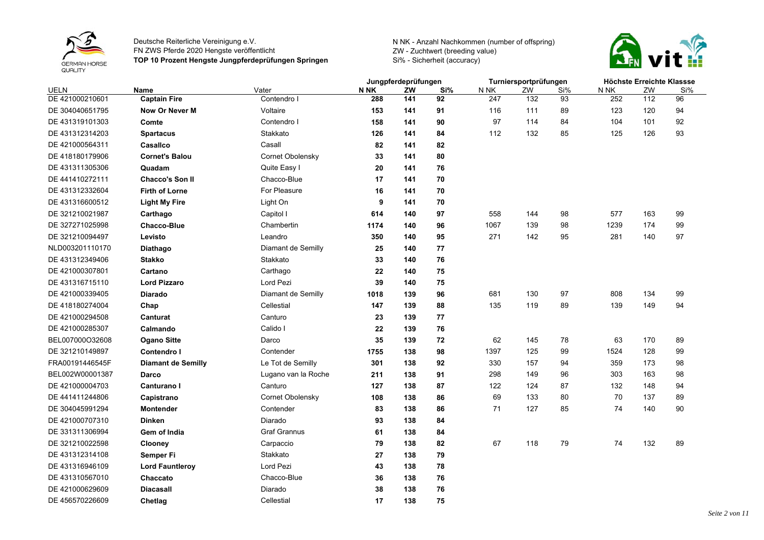



|                 |                           |                     |      |     | Jungpferdeprüfungen |      |     | Turniersportprüfungen | Höchste Erreichte Klassse |     |     |
|-----------------|---------------------------|---------------------|------|-----|---------------------|------|-----|-----------------------|---------------------------|-----|-----|
| UELN            | Name                      | Vater               | N NK | ZW  | Si%                 | N NK | ZW  | Si%                   | N NK                      | ZW  | Si% |
| DE 421000210601 | <b>Captain Fire</b>       | Contendro I         | 288  | 141 | 92                  | 247  | 132 | 93                    | 252                       | 112 | 96  |
| DE 304040651795 | <b>Now Or Never M</b>     | Voltaire            | 153  | 141 | 91                  | 116  | 111 | 89                    | 123                       | 120 | 94  |
| DE 431319101303 | Comte                     | Contendro I         | 158  | 141 | 90                  | 97   | 114 | 84                    | 104                       | 101 | 92  |
| DE 431312314203 | <b>Spartacus</b>          | Stakkato            | 126  | 141 | 84                  | 112  | 132 | 85                    | 125                       | 126 | 93  |
| DE 421000564311 | Casallco                  | Casall              | 82   | 141 | 82                  |      |     |                       |                           |     |     |
| DE 418180179906 | <b>Cornet's Balou</b>     | Cornet Obolensky    | 33   | 141 | 80                  |      |     |                       |                           |     |     |
| DE 431311305306 | Quadam                    | Quite Easy I        | 20   | 141 | 76                  |      |     |                       |                           |     |     |
| DE 441410272111 | <b>Chacco's Son II</b>    | Chacco-Blue         | 17   | 141 | 70                  |      |     |                       |                           |     |     |
| DE 431312332604 | <b>Firth of Lorne</b>     | For Pleasure        | 16   | 141 | 70                  |      |     |                       |                           |     |     |
| DE 431316600512 | <b>Light My Fire</b>      | Light On            | 9    | 141 | 70                  |      |     |                       |                           |     |     |
| DE 321210021987 | Carthago                  | Capitol I           | 614  | 140 | 97                  | 558  | 144 | 98                    | 577                       | 163 | 99  |
| DE 327271025998 | <b>Chacco-Blue</b>        | Chambertin          | 1174 | 140 | 96                  | 1067 | 139 | 98                    | 1239                      | 174 | 99  |
| DE 321210094497 | Levisto                   | Leandro             | 350  | 140 | 95                  | 271  | 142 | 95                    | 281                       | 140 | 97  |
| NLD003201110170 | Diathago                  | Diamant de Semilly  | 25   | 140 | 77                  |      |     |                       |                           |     |     |
| DE 431312349406 | <b>Stakko</b>             | Stakkato            | 33   | 140 | 76                  |      |     |                       |                           |     |     |
| DE 421000307801 | Cartano                   | Carthago            | 22   | 140 | 75                  |      |     |                       |                           |     |     |
| DE 431316715110 | <b>Lord Pizzaro</b>       | Lord Pezi           | 39   | 140 | 75                  |      |     |                       |                           |     |     |
| DE 421000339405 | <b>Diarado</b>            | Diamant de Semilly  | 1018 | 139 | 96                  | 681  | 130 | 97                    | 808                       | 134 | 99  |
| DE 418180274004 | Chap                      | Cellestial          | 147  | 139 | 88                  | 135  | 119 | 89                    | 139                       | 149 | 94  |
| DE 421000294508 | Canturat                  | Canturo             | 23   | 139 | 77                  |      |     |                       |                           |     |     |
| DE 421000285307 | Calmando                  | Calido I            | 22   | 139 | 76                  |      |     |                       |                           |     |     |
| BEL007000O32608 | <b>Ogano Sitte</b>        | Darco               | 35   | 139 | 72                  | 62   | 145 | 78                    | 63                        | 170 | 89  |
| DE 321210149897 | <b>Contendro I</b>        | Contender           | 1755 | 138 | 98                  | 1397 | 125 | 99                    | 1524                      | 128 | 99  |
| FRA00191446545F | <b>Diamant de Semilly</b> | Le Tot de Semilly   | 301  | 138 | 92                  | 330  | 157 | 94                    | 359                       | 173 | 98  |
| BEL002W00001387 | Darco                     | Lugano van la Roche | 211  | 138 | 91                  | 298  | 149 | 96                    | 303                       | 163 | 98  |
| DE 421000004703 | Canturano I               | Canturo             | 127  | 138 | 87                  | 122  | 124 | 87                    | 132                       | 148 | 94  |
| DE 441411244806 | Capistrano                | Cornet Obolensky    | 108  | 138 | 86                  | 69   | 133 | 80                    | 70                        | 137 | 89  |
| DE 304045991294 | <b>Montender</b>          | Contender           | 83   | 138 | 86                  | 71   | 127 | 85                    | 74                        | 140 | 90  |
| DE 421000707310 | <b>Dinken</b>             | Diarado             | 93   | 138 | 84                  |      |     |                       |                           |     |     |
| DE 331311306994 | Gem of India              | <b>Graf Grannus</b> | 61   | 138 | 84                  |      |     |                       |                           |     |     |
| DE 321210022598 | Clooney                   | Carpaccio           | 79   | 138 | 82                  | 67   | 118 | 79                    | 74                        | 132 | 89  |
| DE 431312314108 | Semper Fi                 | Stakkato            | 27   | 138 | 79                  |      |     |                       |                           |     |     |
| DE 431316946109 | <b>Lord Fauntleroy</b>    | Lord Pezi           | 43   | 138 | 78                  |      |     |                       |                           |     |     |
| DE 431310567010 | Chaccato                  | Chacco-Blue         | 36   | 138 | 76                  |      |     |                       |                           |     |     |
| DE 421000629609 | <b>Diacasall</b>          | Diarado             | 38   | 138 | 76                  |      |     |                       |                           |     |     |
| DE 456570226609 | Chetlag                   | Cellestial          | 17   | 138 | 75                  |      |     |                       |                           |     |     |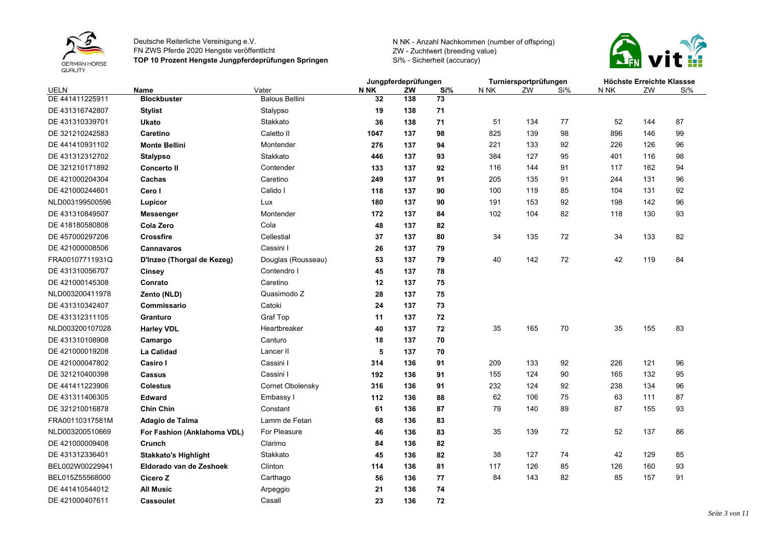



|                 |                             |                       | Jungpferdeprüfungen |     |     | Turniersportprüfungen |     |     |      | Höchste Erreichte Klassse |     |
|-----------------|-----------------------------|-----------------------|---------------------|-----|-----|-----------------------|-----|-----|------|---------------------------|-----|
| UELN            | Name                        | Vater                 | <b>N NK</b>         | ZW  | Si% | N NK                  | ZW  | Si% | N NK | ZW                        | Si% |
| DE 441411225911 | <b>Blockbuster</b>          | <b>Balous Bellini</b> | 32                  | 138 | 73  |                       |     |     |      |                           |     |
| DE 431316742807 | <b>Stylist</b>              | Stalypso              | 19                  | 138 | 71  |                       |     |     |      |                           |     |
| DE 431310339701 | Ukato                       | Stakkato              | 36                  | 138 | 71  | 51                    | 134 | 77  | 52   | 144                       | 87  |
| DE 321210242583 | Caretino                    | Caletto II            | 1047                | 137 | 98  | 825                   | 139 | 98  | 896  | 146                       | 99  |
| DE 441410931102 | <b>Monte Bellini</b>        | Montender             | 276                 | 137 | 94  | 221                   | 133 | 92  | 226  | 126                       | 96  |
| DE 431312312702 | <b>Stalypso</b>             | Stakkato              | 446                 | 137 | 93  | 384                   | 127 | 95  | 401  | 116                       | 98  |
| DE 321210171892 | <b>Concerto II</b>          | Contender             | 133                 | 137 | 92  | 116                   | 144 | 91  | 117  | 162                       | 94  |
| DE 421000204304 | Cachas                      | Caretino              | 249                 | 137 | 91  | 205                   | 135 | 91  | 244  | 131                       | 96  |
| DE 421000244601 | Cero I                      | Calido I              | 118                 | 137 | 90  | 100                   | 119 | 85  | 104  | 131                       | 92  |
| NLD003199500596 | Lupicor                     | Lux                   | 180                 | 137 | 90  | 191                   | 153 | 92  | 198  | 142                       | 96  |
| DE 431310849507 | Messenger                   | Montender             | 172                 | 137 | 84  | 102                   | 104 | 82  | 118  | 130                       | 93  |
| DE 418180580808 | Cola Zero                   | Cola                  | 48                  | 137 | 82  |                       |     |     |      |                           |     |
| DE 457000297206 | <b>Crossfire</b>            | Cellestial            | 37                  | 137 | 80  | 34                    | 135 | 72  | 34   | 133                       | 82  |
| DE 421000008506 | <b>Cannavaros</b>           | Cassini I             | 26                  | 137 | 79  |                       |     |     |      |                           |     |
| FRA00107711931Q | D'Inzeo (Thorgal de Kezeg)  | Douglas (Rousseau)    | 53                  | 137 | 79  | 40                    | 142 | 72  | 42   | 119                       | 84  |
| DE 431310056707 | Cinsey                      | Contendro I           | 45                  | 137 | 78  |                       |     |     |      |                           |     |
| DE 421000145308 | Conrato                     | Caretino              | 12                  | 137 | 75  |                       |     |     |      |                           |     |
| NLD003200411978 | Zento (NLD)                 | Quasimodo Z           | 28                  | 137 | 75  |                       |     |     |      |                           |     |
| DE 431310342407 | Commissario                 | Catoki                | 24                  | 137 | 73  |                       |     |     |      |                           |     |
| DE 431312311105 | Granturo                    | Graf Top              | 11                  | 137 | 72  |                       |     |     |      |                           |     |
| NLD003200107028 | <b>Harley VDL</b>           | Heartbreaker          | 40                  | 137 | 72  | 35                    | 165 | 70  | 35   | 155                       | 83  |
| DE 431310108908 | Camargo                     | Canturo               | 18                  | 137 | 70  |                       |     |     |      |                           |     |
| DE 421000019208 | <b>La Calidad</b>           | Lancer II             | 5                   | 137 | 70  |                       |     |     |      |                           |     |
| DE 421000047802 | Casiro I                    | Cassini I             | 314                 | 136 | 91  | 209                   | 133 | 92  | 226  | 121                       | 96  |
| DE 321210400398 | <b>Cassus</b>               | Cassini I             | 192                 | 136 | 91  | 155                   | 124 | 90  | 165  | 132                       | 95  |
| DE 441411223906 | <b>Colestus</b>             | Cornet Obolensky      | 316                 | 136 | 91  | 232                   | 124 | 92  | 238  | 134                       | 96  |
| DE 431311406305 | <b>Edward</b>               | Embassy I             | 112                 | 136 | 88  | 62                    | 106 | 75  | 63   | 111                       | 87  |
| DE 321210016878 | <b>Chin Chin</b>            | Constant              | 61                  | 136 | 87  | 79                    | 140 | 89  | 87   | 155                       | 93  |
| FRA00110317581M | Adagio de Talma             | Lamm de Fetan         | 68                  | 136 | 83  |                       |     |     |      |                           |     |
| NLD003200510669 | For Fashion (Anklahoma VDL) | For Pleasure          | 46                  | 136 | 83  | 35                    | 139 | 72  | 52   | 137                       | 86  |
| DE 421000009408 | Crunch                      | Clarimo               | 84                  | 136 | 82  |                       |     |     |      |                           |     |
| DE 431312336401 | <b>Stakkato's Highlight</b> | Stakkato              | 45                  | 136 | 82  | 38                    | 127 | 74  | 42   | 129                       | 85  |
| BEL002W00229941 | Eldorado van de Zeshoek     | Clinton               | 114                 | 136 | 81  | 117                   | 126 | 85  | 126  | 160                       | 93  |
| BEL015Z55568000 | Cicero Z                    | Carthago              | 56                  | 136 | 77  | 84                    | 143 | 82  | 85   | 157                       | 91  |
| DE 441410544012 | <b>All Music</b>            | Arpeggio              | 21                  | 136 | 74  |                       |     |     |      |                           |     |
| DE 421000407611 | <b>Cassoulet</b>            | Casall                | 23                  | 136 | 72  |                       |     |     |      |                           |     |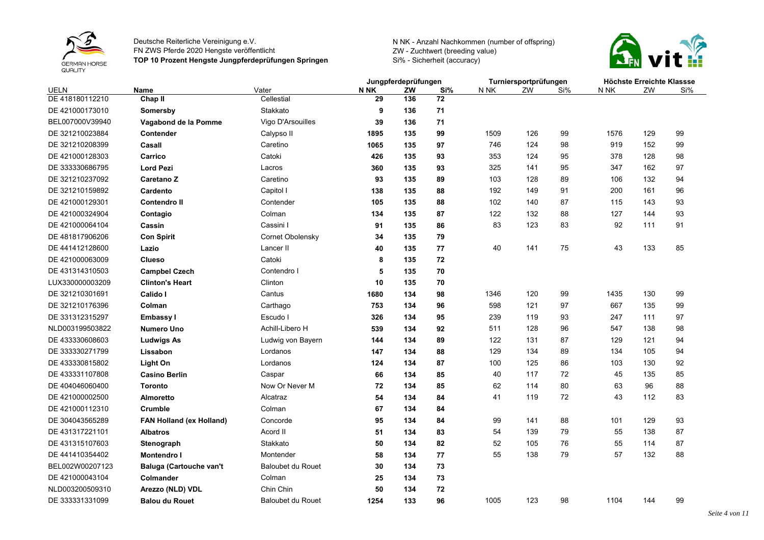



| Jungpferdeprüfungen                                                                               | Turniersportprüfungen |     |      | Höchste Erreichte Klassse |     |  |
|---------------------------------------------------------------------------------------------------|-----------------------|-----|------|---------------------------|-----|--|
| <b>N NK</b><br>Si%<br><b>UELN</b><br>Name<br>Vater<br>ZW<br>N NK                                  | ZW                    | Si% | N NK | ZW                        | Si% |  |
| DE 418180112210<br>Cellestial<br>Chap II<br>29<br>72<br>136                                       |                       |     |      |                           |     |  |
| 9<br>71<br>DE 421000173010<br>Stakkato<br>136<br>Somersby                                         |                       |     |      |                           |     |  |
| Vigo D'Arsouilles<br>71<br>BEL007000V39940<br>39<br>136<br>Vagabond de la Pomme                   |                       |     |      |                           |     |  |
| DE 321210023884<br>Calypso II<br>1895<br>135<br>99<br>1509<br>Contender                           | 126                   | 99  | 1576 | 129                       | 99  |  |
| 746<br>DE 321210208399<br>Caretino<br>1065<br>135<br>97<br>Casall                                 | 124                   | 98  | 919  | 152                       | 99  |  |
| Catoki<br>135<br>DE 421000128303<br>Carrico<br>426<br>93<br>353                                   | 124                   | 95  | 378  | 128                       | 98  |  |
| <b>Lord Pezi</b><br>DE 333330686795<br>360<br>135<br>93<br>325<br>Lacros                          | 141                   | 95  | 347  | 162                       | 97  |  |
| DE 321210237092<br>Caretino<br>103<br>93<br>135<br>89<br><b>Caretano Z</b>                        | 128                   | 89  | 106  | 132                       | 94  |  |
| Capitol I<br>192<br>DE 321210159892<br>Cardento<br>135<br>88<br>138                               | 149                   | 91  | 200  | 161                       | 96  |  |
| DE 421000129301<br>135<br>88<br>102<br><b>Contendro II</b><br>Contender<br>105                    | 140                   | 87  | 115  | 143                       | 93  |  |
| 87<br>DE 421000324904<br>Colman<br>134<br>135<br>122<br>Contagio                                  | 132                   | 88  | 127  | 144                       | 93  |  |
| 83<br>DE 421000064104<br>Cassini I<br>86<br>91<br>135<br>Cassin                                   | 123                   | 83  | 92   | 111                       | 91  |  |
| Cornet Obolensky<br>DE 481817906206<br>79<br><b>Con Spirit</b><br>34<br>135                       |                       |     |      |                           |     |  |
| 40<br>DE 441412128600<br>Lancer II<br>135<br>77<br>Lazio<br>40                                    | 141                   | 75  | 43   | 133                       | 85  |  |
| Catoki<br>8<br>135<br>72<br>DE 421000063009<br><b>Clueso</b>                                      |                       |     |      |                           |     |  |
| <b>Campbel Czech</b><br>5<br>70<br>DE 431314310503<br>Contendro I<br>135                          |                       |     |      |                           |     |  |
| Clinton<br>LUX330000003209<br>70<br><b>Clinton's Heart</b><br>10<br>135                           |                       |     |      |                           |     |  |
| DE 321210301691<br>Cantus<br>1346<br>Calido I<br>1680<br>134<br>98                                | 120                   | 99  | 1435 | 130                       | 99  |  |
| Carthago<br>753<br>134<br>96<br>598<br>DE 321210176396<br>Colman                                  | 121                   | 97  | 667  | 135                       | 99  |  |
| Escudo I<br>326<br>134<br>95<br>239<br>DE 331312315297<br>Embassy I                               | 119                   | 93  | 247  | 111                       | 97  |  |
| Achill-Libero H<br>NLD003199503822<br>539<br>134<br>511<br><b>Numero Uno</b><br>92                | 128                   | 96  | 547  | 138                       | 98  |  |
| DE 433330608603<br>Ludwig von Bayern<br>89<br>122<br><b>Ludwigs As</b><br>144<br>134              | 131                   | 87  | 129  | 121                       | 94  |  |
| DE 333330271799<br>Lordanos<br>129<br>Lissabon<br>147<br>134<br>88                                | 134                   | 89  | 134  | 105                       | 94  |  |
| Light On<br>DE 433330815802<br>Lordanos<br>124<br>134<br>87<br>100                                | 125                   | 86  | 103  | 130                       | 92  |  |
| <b>Casino Berlin</b><br>40<br>DE 433331107808<br>Caspar<br>66<br>134<br>85                        | 117                   | 72  | 45   | 135                       | 85  |  |
| Now Or Never M<br>62<br>DE 404046060400<br>72<br>134<br>85<br><b>Toronto</b>                      | 114                   | 80  | 63   | 96                        | 88  |  |
| DE 421000002500<br>41<br>Alcatraz<br>54<br>84<br><b>Almoretto</b><br>134                          | 119                   | 72  | 43   | 112                       | 83  |  |
| <b>Crumble</b><br>67<br>84<br>DE 421000112310<br>Colman<br>134                                    |                       |     |      |                           |     |  |
| 95<br>99<br>DE 304043565289<br>FAN Holland (ex Holland)<br>134<br>84<br>Concorde                  | 141                   | 88  | 101  | 129                       | 93  |  |
| DE 431317221101<br>Acord II<br>54<br>51<br>134<br>83<br><b>Albatros</b>                           | 139                   | 79  | 55   | 138                       | 87  |  |
| Stakkato<br>52<br>DE 431315107603<br>50<br>134<br>82<br>Stenograph                                | 105                   | 76  | 55   | 114                       | 87  |  |
| 55<br>DE 441410354402<br>Montender<br>77<br><b>Montendro I</b><br>58<br>134                       | 138                   | 79  | 57   | 132                       | 88  |  |
| <b>Baloubet du Rouet</b><br>73<br>BEL002W00207123<br>Baluga (Cartouche van't<br>30<br>134         |                       |     |      |                           |     |  |
| DE 421000043104<br>Colman<br>25<br>134<br>73<br>Colmander                                         |                       |     |      |                           |     |  |
| Chin Chin<br>NLD003200509310<br>Arezzo (NLD) VDL<br>50<br>134<br>72                               |                       |     |      |                           |     |  |
| 1005<br>DE 333331331099<br><b>Baloubet du Rouet</b><br>1254<br>133<br>96<br><b>Balou du Rouet</b> | 123                   | 98  | 1104 | 144                       | 99  |  |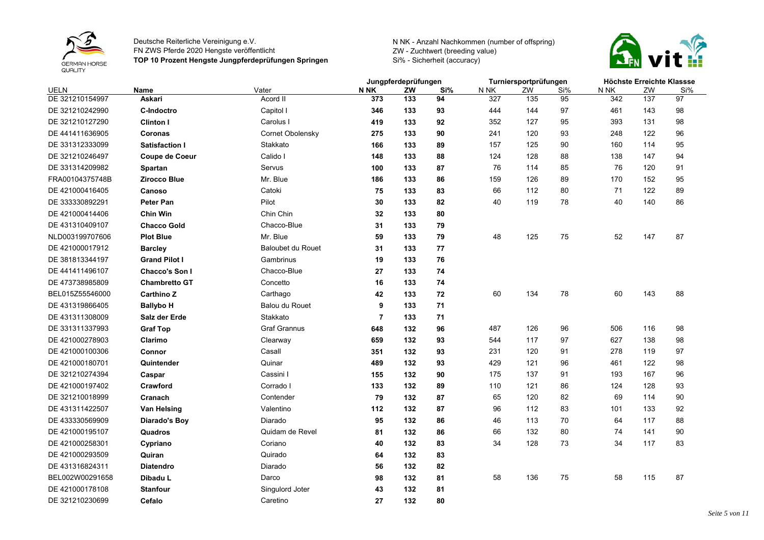



|                 |                       |                          | Jungpferdeprüfungen |     |     |      | Turniersportprüfungen |     | Höchste Erreichte Klassse |     |     |
|-----------------|-----------------------|--------------------------|---------------------|-----|-----|------|-----------------------|-----|---------------------------|-----|-----|
| <b>UELN</b>     | <b>Name</b>           | Vater                    | N NK                | ZW  | Si% | N NK | ZW                    | Si% | N NK                      | ZW  | Si% |
| DE 321210154997 | <b>Askari</b>         | Acord II                 | 373                 | 133 | 94  | 327  | 135                   | 95  | 342                       | 137 | 97  |
| DE 321210242990 | <b>C-Indoctro</b>     | Capitol I                | 346                 | 133 | 93  | 444  | 144                   | 97  | 461                       | 143 | 98  |
| DE 321210127290 | <b>Clinton I</b>      | Carolus I                | 419                 | 133 | 92  | 352  | 127                   | 95  | 393                       | 131 | 98  |
| DE 441411636905 | Coronas               | Cornet Obolensky         | 275                 | 133 | 90  | 241  | 120                   | 93  | 248                       | 122 | 96  |
| DE 331312333099 | <b>Satisfaction I</b> | Stakkato                 | 166                 | 133 | 89  | 157  | 125                   | 90  | 160                       | 114 | 95  |
| DE 321210246497 | Coupe de Coeur        | Calido I                 | 148                 | 133 | 88  | 124  | 128                   | 88  | 138                       | 147 | 94  |
| DE 331314209982 | <b>Spartan</b>        | Servus                   | 100                 | 133 | 87  | 76   | 114                   | 85  | 76                        | 120 | 91  |
| FRA00104375748B | <b>Zirocco Blue</b>   | Mr. Blue                 | 186                 | 133 | 86  | 159  | 126                   | 89  | 170                       | 152 | 95  |
| DE 421000416405 | Canoso                | Catoki                   | 75                  | 133 | 83  | 66   | 112                   | 80  | 71                        | 122 | 89  |
| DE 333330892291 | <b>Peter Pan</b>      | Pilot                    | 30                  | 133 | 82  | 40   | 119                   | 78  | 40                        | 140 | 86  |
| DE 421000414406 | <b>Chin Win</b>       | Chin Chin                | 32                  | 133 | 80  |      |                       |     |                           |     |     |
| DE 431310409107 | <b>Chacco Gold</b>    | Chacco-Blue              | 31                  | 133 | 79  |      |                       |     |                           |     |     |
| NLD003199707606 | <b>Plot Blue</b>      | Mr. Blue                 | 59                  | 133 | 79  | 48   | 125                   | 75  | 52                        | 147 | 87  |
| DE 421000017912 | <b>Barcley</b>        | <b>Baloubet du Rouet</b> | 31                  | 133 | 77  |      |                       |     |                           |     |     |
| DE 381813344197 | <b>Grand Pilot I</b>  | Gambrinus                | 19                  | 133 | 76  |      |                       |     |                           |     |     |
| DE 441411496107 | <b>Chacco's Son I</b> | Chacco-Blue              | 27                  | 133 | 74  |      |                       |     |                           |     |     |
| DE 473738985809 | <b>Chambretto GT</b>  | Concetto                 | 16                  | 133 | 74  |      |                       |     |                           |     |     |
| BEL015Z55546000 | <b>Carthino Z</b>     | Carthago                 | 42                  | 133 | 72  | 60   | 134                   | 78  | 60                        | 143 | 88  |
| DE 431319866405 | <b>Ballybo H</b>      | <b>Balou du Rouet</b>    | 9                   | 133 | 71  |      |                       |     |                           |     |     |
| DE 431311308009 | Salz der Erde         | Stakkato                 | $\overline{7}$      | 133 | 71  |      |                       |     |                           |     |     |
| DE 331311337993 | <b>Graf Top</b>       | <b>Graf Grannus</b>      | 648                 | 132 | 96  | 487  | 126                   | 96  | 506                       | 116 | 98  |
| DE 421000278903 | Clarimo               | Clearway                 | 659                 | 132 | 93  | 544  | 117                   | 97  | 627                       | 138 | 98  |
| DE 421000100306 | Connor                | Casall                   | 351                 | 132 | 93  | 231  | 120                   | 91  | 278                       | 119 | 97  |
| DE 421000180701 | Quintender            | Quinar                   | 489                 | 132 | 93  | 429  | 121                   | 96  | 461                       | 122 | 98  |
| DE 321210274394 | Caspar                | Cassini I                | 155                 | 132 | 90  | 175  | 137                   | 91  | 193                       | 167 | 96  |
| DE 421000197402 | Crawford              | Corrado I                | 133                 | 132 | 89  | 110  | 121                   | 86  | 124                       | 128 | 93  |
| DE 321210018999 | Cranach               | Contender                | 79                  | 132 | 87  | 65   | 120                   | 82  | 69                        | 114 | 90  |
| DE 431311422507 | Van Helsing           | Valentino                | 112                 | 132 | 87  | 96   | 112                   | 83  | 101                       | 133 | 92  |
| DE 433330569909 | <b>Diarado's Boy</b>  | Diarado                  | 95                  | 132 | 86  | 46   | 113                   | 70  | 64                        | 117 | 88  |
| DE 421000195107 | Quadros               | Quidam de Revel          | 81                  | 132 | 86  | 66   | 132                   | 80  | 74                        | 141 | 90  |
| DE 421000258301 | Cypriano              | Coriano                  | 40                  | 132 | 83  | 34   | 128                   | 73  | 34                        | 117 | 83  |
| DE 421000293509 | Quiran                | Quirado                  | 64                  | 132 | 83  |      |                       |     |                           |     |     |
| DE 431316824311 | <b>Diatendro</b>      | Diarado                  | 56                  | 132 | 82  |      |                       |     |                           |     |     |
| BEL002W00291658 | Dibadu L              | Darco                    | 98                  | 132 | 81  | 58   | 136                   | 75  | 58                        | 115 | 87  |
| DE 421000178108 | <b>Stanfour</b>       | Singulord Joter          | 43                  | 132 | 81  |      |                       |     |                           |     |     |
| DE 321210230699 | Cefalo                | Caretino                 | 27                  | 132 | 80  |      |                       |     |                           |     |     |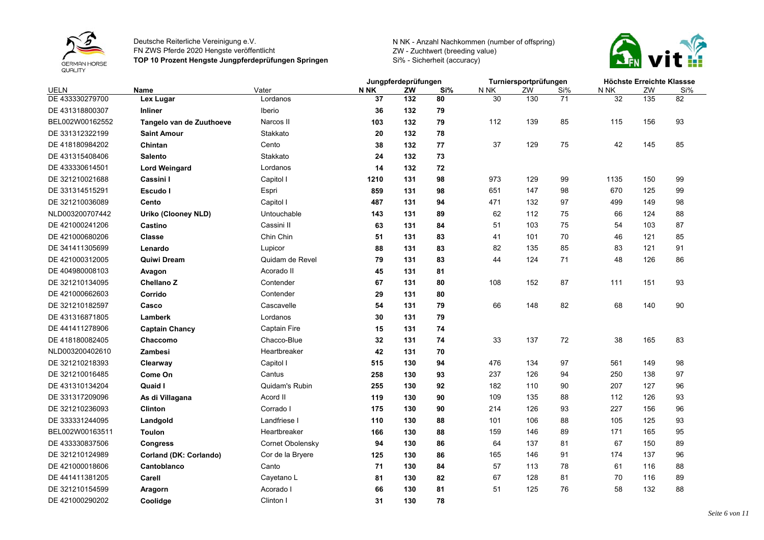



|                 |                            |                     | Jungpferdeprüfungen |     | Turniersportprüfungen |      |     | Höchste Erreichte Klassse |      |     |     |
|-----------------|----------------------------|---------------------|---------------------|-----|-----------------------|------|-----|---------------------------|------|-----|-----|
| UELN            | Name                       | Vater               | <b>N NK</b>         | ZW  | Si%                   | N NK | ZW  | Si%                       | N NK | ZW  | Si% |
| DE 433330279700 | Lex Lugar                  | Lordanos            | 37                  | 132 | 80                    | 30   | 130 | 71                        | 32   | 135 | 82  |
| DE 431318800307 | <b>Inliner</b>             | <b>Iberio</b>       | 36                  | 132 | 79                    |      |     |                           |      |     |     |
| BEL002W00162552 | Tangelo van de Zuuthoeve   | Narcos II           | 103                 | 132 | 79                    | 112  | 139 | 85                        | 115  | 156 | 93  |
| DE 331312322199 | <b>Saint Amour</b>         | Stakkato            | 20                  | 132 | 78                    |      |     |                           |      |     |     |
| DE 418180984202 | Chintan                    | Cento               | 38                  | 132 | 77                    | 37   | 129 | 75                        | 42   | 145 | 85  |
| DE 431315408406 | <b>Salento</b>             | Stakkato            | 24                  | 132 | 73                    |      |     |                           |      |     |     |
| DE 433330614501 | <b>Lord Weingard</b>       | Lordanos            | 14                  | 132 | 72                    |      |     |                           |      |     |     |
| DE 321210021688 | Cassini I                  | Capitol I           | 1210                | 131 | 98                    | 973  | 129 | 99                        | 1135 | 150 | 99  |
| DE 331314515291 | Escudo I                   | Espri               | 859                 | 131 | 98                    | 651  | 147 | 98                        | 670  | 125 | 99  |
| DE 321210036089 | Cento                      | Capitol I           | 487                 | 131 | 94                    | 471  | 132 | 97                        | 499  | 149 | 98  |
| NLD003200707442 | <b>Uriko (Clooney NLD)</b> | Untouchable         | 143                 | 131 | 89                    | 62   | 112 | 75                        | 66   | 124 | 88  |
| DE 421000241206 | Castino                    | Cassini II          | 63                  | 131 | 84                    | 51   | 103 | 75                        | 54   | 103 | 87  |
| DE 421000680206 | Classe                     | Chin Chin           | 51                  | 131 | 83                    | 41   | 101 | 70                        | 46   | 121 | 85  |
| DE 341411305699 | Lenardo                    | Lupicor             | 88                  | 131 | 83                    | 82   | 135 | 85                        | 83   | 121 | 91  |
| DE 421000312005 | <b>Quiwi Dream</b>         | Quidam de Revel     | 79                  | 131 | 83                    | 44   | 124 | 71                        | 48   | 126 | 86  |
| DE 404980008103 | Avagon                     | Acorado II          | 45                  | 131 | 81                    |      |     |                           |      |     |     |
| DE 321210134095 | Chellano Z                 | Contender           | 67                  | 131 | 80                    | 108  | 152 | 87                        | 111  | 151 | 93  |
| DE 421000662603 | Corrido                    | Contender           | 29                  | 131 | 80                    |      |     |                           |      |     |     |
| DE 321210182597 | Casco                      | Cascavelle          | 54                  | 131 | 79                    | 66   | 148 | 82                        | 68   | 140 | 90  |
| DE 431316871805 | Lamberk                    | Lordanos            | 30                  | 131 | 79                    |      |     |                           |      |     |     |
| DE 441411278906 | <b>Captain Chancy</b>      | <b>Captain Fire</b> | 15                  | 131 | 74                    |      |     |                           |      |     |     |
| DE 418180082405 | Chaccomo                   | Chacco-Blue         | 32                  | 131 | 74                    | 33   | 137 | 72                        | 38   | 165 | 83  |
| NLD003200402610 | Zambesi                    | Heartbreaker        | 42                  | 131 | 70                    |      |     |                           |      |     |     |
| DE 321210218393 | Clearway                   | Capitol I           | 515                 | 130 | 94                    | 476  | 134 | 97                        | 561  | 149 | 98  |
| DE 321210016485 | Come On                    | Cantus              | 258                 | 130 | 93                    | 237  | 126 | 94                        | 250  | 138 | 97  |
| DE 431310134204 | Quaid I                    | Quidam's Rubin      | 255                 | 130 | 92                    | 182  | 110 | 90                        | 207  | 127 | 96  |
| DE 331317209096 | As di Villagana            | Acord II            | 119                 | 130 | 90                    | 109  | 135 | 88                        | 112  | 126 | 93  |
| DE 321210236093 | <b>Clinton</b>             | Corrado I           | 175                 | 130 | 90                    | 214  | 126 | 93                        | 227  | 156 | 96  |
| DE 333331244095 | Landgold                   | Landfriese I        | 110                 | 130 | 88                    | 101  | 106 | 88                        | 105  | 125 | 93  |
| BEL002W00163511 | <b>Toulon</b>              | Heartbreaker        | 166                 | 130 | 88                    | 159  | 146 | 89                        | 171  | 165 | 95  |
| DE 433330837506 | <b>Congress</b>            | Cornet Obolensky    | 94                  | 130 | 86                    | 64   | 137 | 81                        | 67   | 150 | 89  |
| DE 321210124989 | Corland (DK: Corlando)     | Cor de la Bryere    | 125                 | 130 | 86                    | 165  | 146 | 91                        | 174  | 137 | 96  |
| DE 421000018606 | Cantoblanco                | Canto               | 71                  | 130 | 84                    | 57   | 113 | 78                        | 61   | 116 | 88  |
| DE 441411381205 | Carell                     | Cayetano L          | 81                  | 130 | 82                    | 67   | 128 | 81                        | 70   | 116 | 89  |
| DE 321210154599 | Aragorn                    | Acorado I           | 66                  | 130 | 81                    | 51   | 125 | 76                        | 58   | 132 | 88  |
| DE 421000290202 | Coolidge                   | Clinton I           | 31                  | 130 | 78                    |      |     |                           |      |     |     |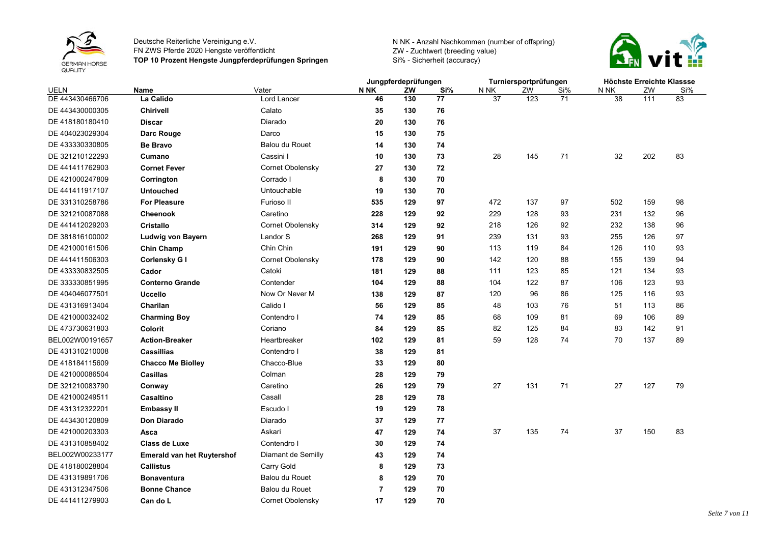



|                 |                                   |                         |                | Jungpferdeprüfungen |     | Turniersportprüfungen |     |     | Höchste Erreichte Klassse |     |     |
|-----------------|-----------------------------------|-------------------------|----------------|---------------------|-----|-----------------------|-----|-----|---------------------------|-----|-----|
| UELN            | Name                              | Vater                   | N NK           | ZW                  | Si% | N NK                  | ZW  | Si% | N NK                      | ZW  | Si% |
| DE 443430466706 | La Calido                         | Lord Lancer             | 46             | 130                 | 77  | 37                    | 123 | 71  | 38                        | 111 | 83  |
| DE 443430000305 | <b>Chirivell</b>                  | Calato                  | 35             | 130                 | 76  |                       |     |     |                           |     |     |
| DE 418180180410 | <b>Discar</b>                     | Diarado                 | 20             | 130                 | 76  |                       |     |     |                           |     |     |
| DE 404023029304 | Darc Rouge                        | Darco                   | 15             | 130                 | 75  |                       |     |     |                           |     |     |
| DE 433330330805 | <b>Be Bravo</b>                   | <b>Balou du Rouet</b>   | 14             | 130                 | 74  |                       |     |     |                           |     |     |
| DE 321210122293 | Cumano                            | Cassini I               | 10             | 130                 | 73  | 28                    | 145 | 71  | 32                        | 202 | 83  |
| DE 441411762903 | <b>Cornet Fever</b>               | <b>Cornet Obolensky</b> | 27             | 130                 | 72  |                       |     |     |                           |     |     |
| DE 421000247809 | Corrington                        | Corrado I               | 8              | 130                 | 70  |                       |     |     |                           |     |     |
| DE 441411917107 | <b>Untouched</b>                  | Untouchable             | 19             | 130                 | 70  |                       |     |     |                           |     |     |
| DE 331310258786 | <b>For Pleasure</b>               | Furioso II              | 535            | 129                 | 97  | 472                   | 137 | 97  | 502                       | 159 | 98  |
| DE 321210087088 | <b>Cheenook</b>                   | Caretino                | 228            | 129                 | 92  | 229                   | 128 | 93  | 231                       | 132 | 96  |
| DE 441412029203 | <b>Cristallo</b>                  | <b>Cornet Obolensky</b> | 314            | 129                 | 92  | 218                   | 126 | 92  | 232                       | 138 | 96  |
| DE 381816100002 | Ludwig von Bayern                 | Landor S                | 268            | 129                 | 91  | 239                   | 131 | 93  | 255                       | 126 | 97  |
| DE 421000161506 | <b>Chin Champ</b>                 | Chin Chin               | 191            | 129                 | 90  | 113                   | 119 | 84  | 126                       | 110 | 93  |
| DE 441411506303 | Corlensky G I                     | <b>Cornet Obolensky</b> | 178            | 129                 | 90  | 142                   | 120 | 88  | 155                       | 139 | 94  |
| DE 433330832505 | Cador                             | Catoki                  | 181            | 129                 | 88  | 111                   | 123 | 85  | 121                       | 134 | 93  |
| DE 333330851995 | <b>Conterno Grande</b>            | Contender               | 104            | 129                 | 88  | 104                   | 122 | 87  | 106                       | 123 | 93  |
| DE 404046077501 | <b>Uccello</b>                    | Now Or Never M          | 138            | 129                 | 87  | 120                   | 96  | 86  | 125                       | 116 | 93  |
| DE 431316913404 | Charilan                          | Calido I                | 56             | 129                 | 85  | 48                    | 103 | 76  | 51                        | 113 | 86  |
| DE 421000032402 | <b>Charming Boy</b>               | Contendro I             | 74             | 129                 | 85  | 68                    | 109 | 81  | 69                        | 106 | 89  |
| DE 473730631803 | Colorit                           | Coriano                 | 84             | 129                 | 85  | 82                    | 125 | 84  | 83                        | 142 | 91  |
| BEL002W00191657 | <b>Action-Breaker</b>             | Heartbreaker            | 102            | 129                 | 81  | 59                    | 128 | 74  | 70                        | 137 | 89  |
| DE 431310210008 | <b>Cassillias</b>                 | Contendro I             | 38             | 129                 | 81  |                       |     |     |                           |     |     |
| DE 418184115609 | <b>Chacco Me Biolley</b>          | Chacco-Blue             | 33             | 129                 | 80  |                       |     |     |                           |     |     |
| DE 421000086504 | Casillas                          | Colman                  | 28             | 129                 | 79  |                       |     |     |                           |     |     |
| DE 321210083790 | Conway                            | Caretino                | 26             | 129                 | 79  | 27                    | 131 | 71  | 27                        | 127 | 79  |
| DE 421000249511 | Casaltino                         | Casall                  | 28             | 129                 | 78  |                       |     |     |                           |     |     |
| DE 431312322201 | Embassy II                        | Escudo I                | 19             | 129                 | 78  |                       |     |     |                           |     |     |
| DE 443430120809 | Don Diarado                       | Diarado                 | 37             | 129                 | 77  |                       |     |     |                           |     |     |
| DE 421000203303 | Asca                              | Askari                  | 47             | 129                 | 74  | 37                    | 135 | 74  | 37                        | 150 | 83  |
| DE 431310858402 | <b>Class de Luxe</b>              | Contendro I             | 30             | 129                 | 74  |                       |     |     |                           |     |     |
| BEL002W00233177 | <b>Emerald van het Ruytershof</b> | Diamant de Semilly      | 43             | 129                 | 74  |                       |     |     |                           |     |     |
| DE 418180028804 | <b>Callistus</b>                  | Carry Gold              | 8              | 129                 | 73  |                       |     |     |                           |     |     |
| DE 431319891706 | Bonaventura                       | Balou du Rouet          | 8              | 129                 | 70  |                       |     |     |                           |     |     |
| DE 431312347506 | <b>Bonne Chance</b>               | Balou du Rouet          | $\overline{7}$ | 129                 | 70  |                       |     |     |                           |     |     |
| DE 441411279903 | Can do L                          | Cornet Obolensky        | 17             | 129                 | 70  |                       |     |     |                           |     |     |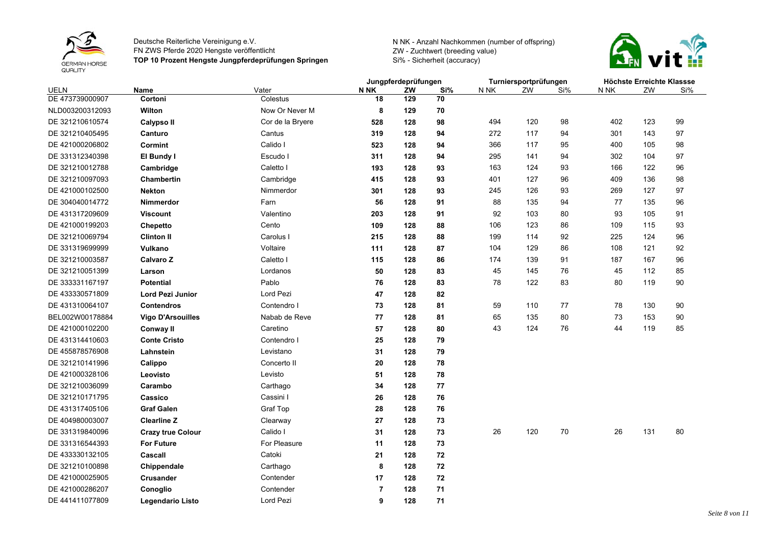



|                 |                          |                  |                | Jungpferdeprüfungen |     | Turniersportprüfungen |     |     | Höchste Erreichte Klassse |     |     |
|-----------------|--------------------------|------------------|----------------|---------------------|-----|-----------------------|-----|-----|---------------------------|-----|-----|
| UELN            | Name                     | Vater            | N NK           | ZW                  | Si% | N NK                  | ZW  | Si% | N NK                      | ZW  | Si% |
| DE 473739000907 | Cortoni                  | Colestus         | 18             | 129                 | 70  |                       |     |     |                           |     |     |
| NLD003200312093 | Wilton                   | Now Or Never M   | 8              | 129                 | 70  |                       |     |     |                           |     |     |
| DE 321210610574 | Calypso II               | Cor de la Bryere | 528            | 128                 | 98  | 494                   | 120 | 98  | 402                       | 123 | 99  |
| DE 321210405495 | Canturo                  | Cantus           | 319            | 128                 | 94  | 272                   | 117 | 94  | 301                       | 143 | 97  |
| DE 421000206802 | Cormint                  | Calido I         | 523            | 128                 | 94  | 366                   | 117 | 95  | 400                       | 105 | 98  |
| DE 331312340398 | El Bundy I               | Escudo I         | 311            | 128                 | 94  | 295                   | 141 | 94  | 302                       | 104 | 97  |
| DE 321210012788 | Cambridge                | Caletto I        | 193            | 128                 | 93  | 163                   | 124 | 93  | 166                       | 122 | 96  |
| DE 321210097093 | <b>Chambertin</b>        | Cambridge        | 415            | 128                 | 93  | 401                   | 127 | 96  | 409                       | 136 | 98  |
| DE 421000102500 | <b>Nekton</b>            | Nimmerdor        | 301            | 128                 | 93  | 245                   | 126 | 93  | 269                       | 127 | 97  |
| DE 304040014772 | Nimmerdor                | Farn             | 56             | 128                 | 91  | 88                    | 135 | 94  | 77                        | 135 | 96  |
| DE 431317209609 | <b>Viscount</b>          | Valentino        | 203            | 128                 | 91  | 92                    | 103 | 80  | 93                        | 105 | 91  |
| DE 421000199203 | Chepetto                 | Cento            | 109            | 128                 | 88  | 106                   | 123 | 86  | 109                       | 115 | 93  |
| DE 321210069794 | <b>Clinton II</b>        | Carolus I        | 215            | 128                 | 88  | 199                   | 114 | 92  | 225                       | 124 | 96  |
| DE 331319699999 | Vulkano                  | Voltaire         | 111            | 128                 | 87  | 104                   | 129 | 86  | 108                       | 121 | 92  |
| DE 321210003587 | Calvaro Z                | Caletto I        | 115            | 128                 | 86  | 174                   | 139 | 91  | 187                       | 167 | 96  |
| DE 321210051399 | Larson                   | Lordanos         | 50             | 128                 | 83  | 45                    | 145 | 76  | 45                        | 112 | 85  |
| DE 333331167197 | <b>Potential</b>         | Pablo            | 76             | 128                 | 83  | 78                    | 122 | 83  | 80                        | 119 | 90  |
| DE 433330571809 | Lord Pezi Junior         | Lord Pezi        | 47             | 128                 | 82  |                       |     |     |                           |     |     |
| DE 431310064107 | <b>Contendros</b>        | Contendro I      | 73             | 128                 | 81  | 59                    | 110 | 77  | 78                        | 130 | 90  |
| BEL002W00178884 | <b>Vigo D'Arsouilles</b> | Nabab de Reve    | 77             | 128                 | 81  | 65                    | 135 | 80  | 73                        | 153 | 90  |
| DE 421000102200 | Conway II                | Caretino         | 57             | 128                 | 80  | 43                    | 124 | 76  | 44                        | 119 | 85  |
| DE 431314410603 | <b>Conte Cristo</b>      | Contendro I      | 25             | 128                 | 79  |                       |     |     |                           |     |     |
| DE 455878576908 | Lahnstein                | Levistano        | 31             | 128                 | 79  |                       |     |     |                           |     |     |
| DE 321210141996 | Calippo                  | Concerto II      | 20             | 128                 | 78  |                       |     |     |                           |     |     |
| DE 421000328106 | Leovisto                 | Levisto          | 51             | 128                 | 78  |                       |     |     |                           |     |     |
| DE 321210036099 | Carambo                  | Carthago         | 34             | 128                 | 77  |                       |     |     |                           |     |     |
| DE 321210171795 | Cassico                  | Cassini I        | 26             | 128                 | 76  |                       |     |     |                           |     |     |
| DE 431317405106 | <b>Graf Galen</b>        | Graf Top         | 28             | 128                 | 76  |                       |     |     |                           |     |     |
| DE 404980003007 | <b>Clearline Z</b>       | Clearway         | 27             | 128                 | 73  |                       |     |     |                           |     |     |
| DE 331319840096 | <b>Crazy true Colour</b> | Calido I         | 31             | 128                 | 73  | 26                    | 120 | 70  | 26                        | 131 | 80  |
| DE 331316544393 | <b>For Future</b>        | For Pleasure     | 11             | 128                 | 73  |                       |     |     |                           |     |     |
| DE 433330132105 | Cascall                  | Catoki           | 21             | 128                 | 72  |                       |     |     |                           |     |     |
| DE 321210100898 | Chippendale              | Carthago         | 8              | 128                 | 72  |                       |     |     |                           |     |     |
| DE 421000025905 | <b>Crusander</b>         | Contender        | 17             | 128                 | 72  |                       |     |     |                           |     |     |
| DE 421000286207 | Conoglio                 | Contender        | $\overline{7}$ | 128                 | 71  |                       |     |     |                           |     |     |
| DE 441411077809 | Legendario Listo         | Lord Pezi        | 9              | 128                 | 71  |                       |     |     |                           |     |     |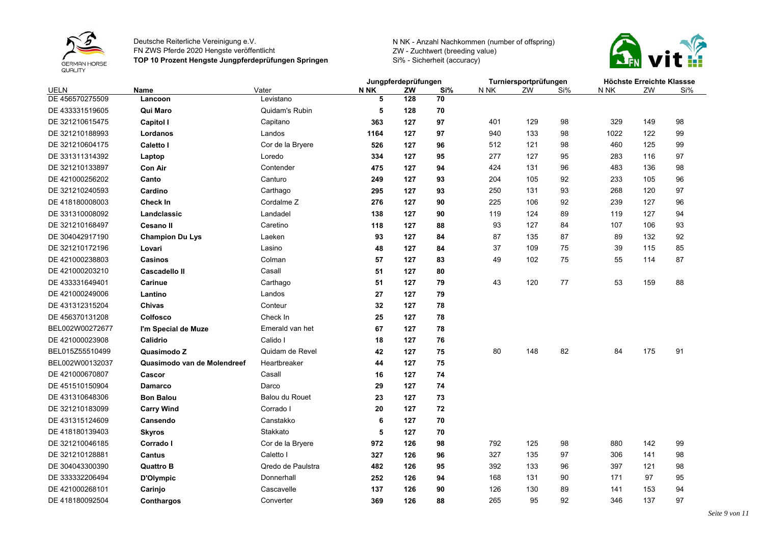



|                 |                             |                       | Jungpferdeprüfungen |     |     | Turniersportprüfungen |     | Höchste Erreichte Klassse |      |     |     |
|-----------------|-----------------------------|-----------------------|---------------------|-----|-----|-----------------------|-----|---------------------------|------|-----|-----|
| <b>UELN</b>     | Name                        | Vater                 | N NK                | ZW  | Si% | N NK                  | ZW  | Si%                       | N NK | ZW  | Si% |
| DE 456570275509 | Lancoon                     | Levistano             | 5                   | 128 | 70  |                       |     |                           |      |     |     |
| DE 433331519605 | Qui Maro                    | Quidam's Rubin        | 5                   | 128 | 70  |                       |     |                           |      |     |     |
| DE 321210615475 | <b>Capitol I</b>            | Capitano              | 363                 | 127 | 97  | 401                   | 129 | 98                        | 329  | 149 | 98  |
| DE 321210188993 | Lordanos                    | Landos                | 1164                | 127 | 97  | 940                   | 133 | 98                        | 1022 | 122 | 99  |
| DE 321210604175 | <b>Caletto I</b>            | Cor de la Bryere      | 526                 | 127 | 96  | 512                   | 121 | 98                        | 460  | 125 | 99  |
| DE 331311314392 | Laptop                      | Loredo                | 334                 | 127 | 95  | 277                   | 127 | 95                        | 283  | 116 | 97  |
| DE 321210133897 | <b>Con Air</b>              | Contender             | 475                 | 127 | 94  | 424                   | 131 | 96                        | 483  | 136 | 98  |
| DE 421000256202 | Canto                       | Canturo               | 249                 | 127 | 93  | 204                   | 105 | 92                        | 233  | 105 | 96  |
| DE 321210240593 | Cardino                     | Carthago              | 295                 | 127 | 93  | 250                   | 131 | 93                        | 268  | 120 | 97  |
| DE 418180008003 | <b>Check In</b>             | Cordalme <sub>Z</sub> | 276                 | 127 | 90  | 225                   | 106 | 92                        | 239  | 127 | 96  |
| DE 331310008092 | Landclassic                 | Landadel              | 138                 | 127 | 90  | 119                   | 124 | 89                        | 119  | 127 | 94  |
| DE 321210168497 | <b>Cesano II</b>            | Caretino              | 118                 | 127 | 88  | 93                    | 127 | 84                        | 107  | 106 | 93  |
| DE 304042917190 | <b>Champion Du Lys</b>      | Laeken                | 93                  | 127 | 84  | 87                    | 135 | 87                        | 89   | 132 | 92  |
| DE 321210172196 | Lovari                      | Lasino                | 48                  | 127 | 84  | 37                    | 109 | 75                        | 39   | 115 | 85  |
| DE 421000238803 | Casinos                     | Colman                | 57                  | 127 | 83  | 49                    | 102 | 75                        | 55   | 114 | 87  |
| DE 421000203210 | <b>Cascadello II</b>        | Casall                | 51                  | 127 | 80  |                       |     |                           |      |     |     |
| DE 433331649401 | Carinue                     | Carthago              | 51                  | 127 | 79  | 43                    | 120 | 77                        | 53   | 159 | 88  |
| DE 421000249006 | Lantino                     | Landos                | 27                  | 127 | 79  |                       |     |                           |      |     |     |
| DE 431312315204 | Chivas                      | Conteur               | 32                  | 127 | 78  |                       |     |                           |      |     |     |
| DE 456370131208 | Colfosco                    | Check In              | 25                  | 127 | 78  |                       |     |                           |      |     |     |
| BEL002W00272677 | I'm Special de Muze         | Emerald van het       | 67                  | 127 | 78  |                       |     |                           |      |     |     |
| DE 421000023908 | Calidrio                    | Calido I              | 18                  | 127 | 76  |                       |     |                           |      |     |     |
| BEL015Z55510499 | Quasimodo Z                 | Quidam de Revel       | 42                  | 127 | 75  | 80                    | 148 | 82                        | 84   | 175 | 91  |
| BEL002W00132037 | Quasimodo van de Molendreef | Heartbreaker          | 44                  | 127 | 75  |                       |     |                           |      |     |     |
| DE 421000670807 | Cascor                      | Casall                | 16                  | 127 | 74  |                       |     |                           |      |     |     |
| DE 451510150904 | <b>Damarco</b>              | Darco                 | 29                  | 127 | 74  |                       |     |                           |      |     |     |
| DE 431310648306 | <b>Bon Balou</b>            | <b>Balou du Rouet</b> | 23                  | 127 | 73  |                       |     |                           |      |     |     |
| DE 321210183099 | <b>Carry Wind</b>           | Corrado I             | 20                  | 127 | 72  |                       |     |                           |      |     |     |
| DE 431315124609 | Cansendo                    | Canstakko             | 6                   | 127 | 70  |                       |     |                           |      |     |     |
| DE 418180139403 | <b>Skyros</b>               | Stakkato              | 5                   | 127 | 70  |                       |     |                           |      |     |     |
| DE 321210046185 | Corrado I                   | Cor de la Bryere      | 972                 | 126 | 98  | 792                   | 125 | 98                        | 880  | 142 | 99  |
| DE 321210128881 | <b>Cantus</b>               | Caletto I             | 327                 | 126 | 96  | 327                   | 135 | 97                        | 306  | 141 | 98  |
| DE 304043300390 | <b>Quattro B</b>            | Qredo de Paulstra     | 482                 | 126 | 95  | 392                   | 133 | 96                        | 397  | 121 | 98  |
| DE 333332206494 | D'Olympic                   | Donnerhall            | 252                 | 126 | 94  | 168                   | 131 | 90                        | 171  | 97  | 95  |
| DE 421000268101 | Carinjo                     | Cascavelle            | 137                 | 126 | 90  | 126                   | 130 | 89                        | 141  | 153 | 94  |
| DE 418180092504 | Conthargos                  | Converter             | 369                 | 126 | 88  | 265                   | 95  | 92                        | 346  | 137 | 97  |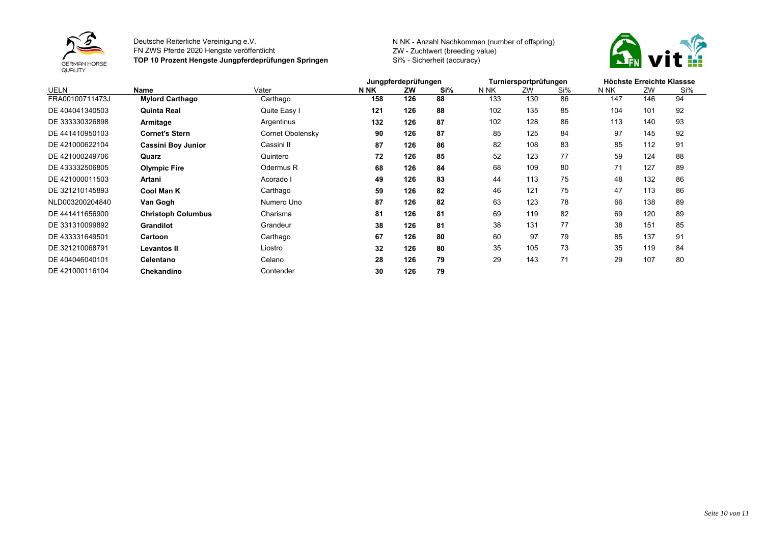



|                 |                           |                  | Jungpferdeprüfungen |     |     | Turniersportprüfungen |     |     | Höchste Erreichte Klassse |     |     |  |
|-----------------|---------------------------|------------------|---------------------|-----|-----|-----------------------|-----|-----|---------------------------|-----|-----|--|
| <b>UELN</b>     | Name                      | Vater            | <b>N NK</b>         | ZW  | Si% | N NK                  | ZW  | Si% | N NK                      | ZW  | Si% |  |
| FRA00100711473J | <b>Mylord Carthago</b>    | Carthago         | 158                 | 126 | 88  | 133                   | 130 | 86  | 147                       | 146 | 94  |  |
| DE 404041340503 | <b>Quinta Real</b>        | Quite Easy I     | 121                 | 126 | 88  | 102                   | 135 | 85  | 104                       | 101 | 92  |  |
| DE 333330326898 | Armitage                  | Argentinus       | 132                 | 126 | 87  | 102                   | 128 | 86  | 113                       | 140 | 93  |  |
| DE 441410950103 | <b>Cornet's Stern</b>     | Cornet Obolensky | 90                  | 126 | 87  | 85                    | 125 | 84  | 97                        | 145 | 92  |  |
| DE 421000622104 | <b>Cassini Boy Junior</b> | Cassini II       | 87                  | 126 | 86  | 82                    | 108 | 83  | 85                        | 112 | 91  |  |
| DE 421000249706 | Quarz                     | Quintero         | 72                  | 126 | 85  | 52                    | 123 | 77  | 59                        | 124 | 88  |  |
| DE 433332506805 | <b>Olympic Fire</b>       | Odermus R        | 68                  | 126 | 84  | 68                    | 109 | 80  | 71                        | 127 | 89  |  |
| DE 421000011503 | <b>Artani</b>             | Acorado I        | 49                  | 126 | 83  | 44                    | 113 | 75  | 48                        | 132 | 86  |  |
| DE 321210145893 | <b>Cool Man K</b>         | Carthago         | 59                  | 126 | 82  | 46                    | 121 | 75  | 47                        | 113 | 86  |  |
| NLD003200204840 | Van Gogh                  | Numero Uno       | 87                  | 126 | 82  | 63                    | 123 | 78  | 66                        | 138 | 89  |  |
| DE 441411656900 | <b>Christoph Columbus</b> | Charisma         | 81                  | 126 | 81  | 69                    | 119 | 82  | 69                        | 120 | 89  |  |
| DE 331310099892 | <b>Grandilot</b>          | Grandeur         | 38                  | 126 | 81  | 38                    | 131 | 77  | 38                        | 151 | 85  |  |
| DE 433331649501 | Cartoon                   | Carthago         | 67                  | 126 | 80  | 60                    | 97  | 79  | 85                        | 137 | 91  |  |
| DE 321210068791 | <b>Levantos II</b>        | Liostro          | 32                  | 126 | 80  | 35                    | 105 | 73  | 35                        | 119 | 84  |  |
| DE 404046040101 | Celentano                 | Celano           | 28                  | 126 | 79  | 29                    | 143 | 71  | 29                        | 107 | 80  |  |
| DE 421000116104 | Chekandino                | Contender        | 30                  | 126 | 79  |                       |     |     |                           |     |     |  |